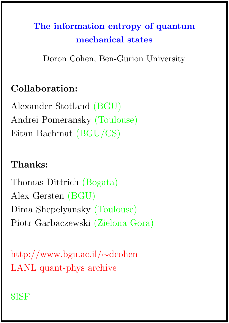# The information entropy of quantum mechanical states

Doron Cohen, Ben-Gurion University

## Collaboration:

Alexander Stotland (BGU) Andrei Pomeransky (Toulouse) Eitan Bachmat (BGU/CS)

#### Thanks:

Thomas Dittrich (Bogata) Alex Gersten (BGU) Dima Shepelyansky (Toulouse) Piotr Garbaczewski (Zielona Gora)

http://www.bgu.ac.il/∼dcohen LANL quant-phys archive

#### \$ISF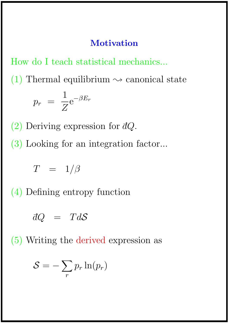#### **Motivation**

How do I teach statistical mechanics...

(1) Thermal equilibrium  $\sim$  canonical state  $p_r =$ 1 Z  $e^{-\beta E_r}$ 

(2) Deriving expression for  $dQ$ .

(3) Looking for an integration factor...

$$
T = 1/\beta
$$

(4) Defining entropy function

$$
dQ = TdS
$$

(5) Writing the derived expression as

$$
S=-\sum_{r}p_{r}\ln(p_{r})
$$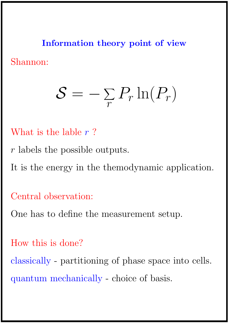Information theory point of view Shannon:

#### $\mathcal{S}=-\sum$  $\frac{1}{r}$  $P_r \ln(P_r)$

- What is the lable  $r$ ?
- r labels the possible outputs.
- It is the energy in the themodynamic application.

Central observation:

One has to define the measurement setup.

How this is done?

classically - partitioning of phase space into cells. quantum mechanically - choice of basis.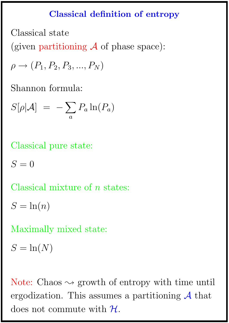### Classical definition of entropy

Classical state

(given partitioning  $\mathcal A$  of phase space):

 $\rho \rightarrow (P_1, P_2, P_3, ..., P_N)$ 

Shannon formula:

$$
S[\rho|\mathcal{A}] = -\sum_a P_a \ln(P_a)
$$

Classical pure state:

 $S=0$ 

Classical mixture of *n* states:

$$
S = \ln(n)
$$

Maximally mixed state:

 $S = \ln(N)$ 

Note: Chaos  $\sim$  growth of entropy with time until ergodization. This assumes a partitioning  $A$  that does not commute with  $\mathcal{H}$ .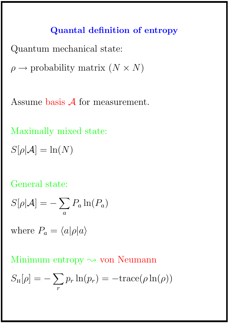#### Quantal definition of entropy

Quantum mechanical state:

 $\rho \rightarrow$  probability matrix  $(N \times N)$ 

Assume basis A for measurement.

Maximally mixed state:

 $S[\rho|\mathcal{A}] = \ln(N)$ 

#### General state:

$$
S[\rho|\mathcal{A}] = -\sum_{a} P_a \ln(P_a)
$$

where  $P_a = \langle a|\rho|a\rangle$ 

Minimum entropy  $\sim$  von Neumann

$$
S_{\rm H}[\rho] = -\sum_{r} p_r \ln(p_r) = -\text{trace}(\rho \ln(\rho))
$$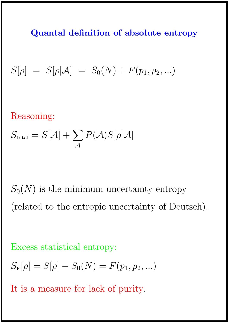Quantal definition of absolute entropy

$$
S[\rho] = \overline{S[\rho|\mathcal{A}]} = S_0(N) + F(p_1, p_2, ...)
$$

Reasoning:

$$
S_{\text{total}} = S[\mathcal{A}] + \sum_{\mathcal{A}} P(\mathcal{A}) S[\rho | \mathcal{A}]
$$

 $S_0(N)$  is the minimum uncertainty entropy (related to the entropic uncertainty of Deutsch).

Excess statistical entropy:

$$
S_{\mathcal{F}}[\rho] = S[\rho] - S_0(N) = F(p_1, p_2, ...)
$$

It is a measure for lack of purity.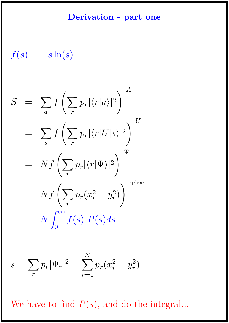#### Derivation - part one

$$
f(s) = -s \ln(s)
$$

$$
S = \frac{\sum_{a} f\left(\sum_{r} p_{r} |\langle r|a \rangle|^{2}\right)}{\sum_{s} f\left(\sum_{r} p_{r} |\langle r|U|s \rangle|^{2}\right)} U
$$
  

$$
= N f\left(\sum_{r} p_{r} |\langle r|V|s \rangle|^{2}\right)^{\Psi}
$$
  

$$
= N f\left(\sum_{r} p_{r}(x_{r}^{2} + y_{r}^{2})\right)^{\text{sphere}}
$$
  

$$
= N \int_{0}^{\infty} f(s) P(s) ds
$$

$$
s = \sum_{r} p_r |\Psi_r|^2 = \sum_{r=1}^{N} p_r (x_r^2 + y_r^2)
$$

We have to find  $P(s)$ , and do the integral...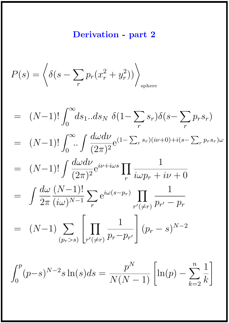## Derivation - part 2

$$
P(s) = \left\langle \delta(s - \sum_{r} p_r (x_r^2 + y_r^2)) \right\rangle_{\text{sphere}}
$$

$$
= (N-1)! \int_0^{\infty} ds_1 \dots ds_N \ \delta(1 - \sum_r s_r) \delta(s - \sum_r p_r s_r)
$$
  
\n
$$
= (N-1)! \int_0^{\infty} \dots \int \frac{d\omega d\nu}{(2\pi)^2} e^{(1 - \sum_r s_r)(i\nu + 0) + i(s - \sum_r p_r s_r)\omega}
$$
  
\n
$$
= (N-1)! \int \frac{d\omega d\nu}{(2\pi)^2} e^{i\nu + i\omega s} \prod_r \frac{1}{i\omega p_r + i\nu + 0}
$$
  
\n
$$
= \int \frac{d\omega}{2\pi} \frac{(N-1)!}{(i\omega)^{N-1}} \sum_r e^{i\omega(s - p_r)} \prod_{r'(\neq r)} \frac{1}{p_{r'} - p_r}
$$
  
\n
$$
= (N-1) \sum_{(p_r > s)} \left[ \prod_{r'(\neq r)} \frac{1}{p_r - p_{r'}} \right] (p_r - s)^{N-2}
$$

$$
\int_0^p (p-s)^{N-2} s \ln(s) ds = \frac{p^N}{N(N-1)} \left[ \ln(p) - \sum_{k=2}^n \frac{1}{k} \right]
$$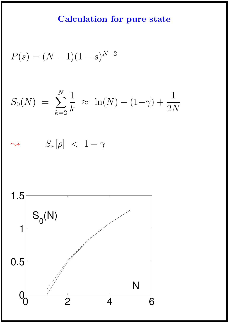## Calculation for pure state

$$
P(s) = (N-1)(1-s)^{N-2}
$$

$$
S_0(N) = \sum_{k=2}^{N} \frac{1}{k} \approx \ln(N) - (1 - \gamma) + \frac{1}{2N}
$$

 $S_{\rm F}[\rho]$  < 1 –  $\gamma$ 

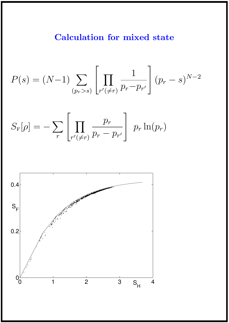#### Calculation for mixed state

$$
P(s) = (N-1) \sum_{(p_r > s)} \left[ \prod_{r'(\neq r)} \frac{1}{p_r - p_{r'}} \right] (p_r - s)^{N-2}
$$

$$
S_{\rm F}[\rho] = -\sum_r \left[ \prod_{r'(\neq r)} \frac{p_r}{p_r - p_{r'}} \right] p_r \ln(p_r)
$$

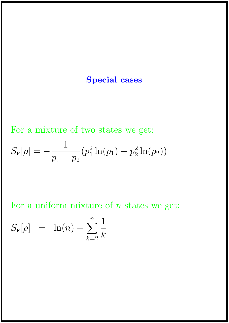#### Special cases

For a mixture of two states we get:

$$
S_{\rm F}[\rho] = -\frac{1}{p_1 - p_2} (p_1^2 \ln(p_1) - p_2^2 \ln(p_2))
$$

For a uniform mixture of  $n$  states we get:

$$
S_{\rm F}[\rho] = \ln(n) - \sum_{k=2}^{n} \frac{1}{k}
$$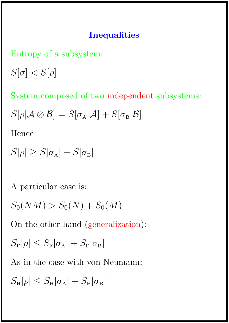#### **Inequalities**

Entropy of a subsystem:

 $S[\sigma] < S[\rho]$ 

System composed of two independent subsystems:

 $S[\rho|\mathcal{A}\otimes\mathcal{B}] = S[\sigma_{A}|\mathcal{A}] + S[\sigma_{B}|\mathcal{B}]$ 

Hence

 $S[\rho] \geq S[\sigma_A] + S[\sigma_B]$ 

A particular case is:

 $S_0(NM) > S_0(N) + S_0(M)$ 

On the other hand (generalization):

 $S_{\rm F}[\rho] \leq S_{\rm F}[\sigma_{\rm A}] + S_{\rm F}[\sigma_{\rm B}]$ 

As in the case with von-Neumann:

 $S_{\rm H}[\rho] \leq S_{\rm H}[\sigma_{\rm A}] + S_{\rm H}[\sigma_{\rm B}]$